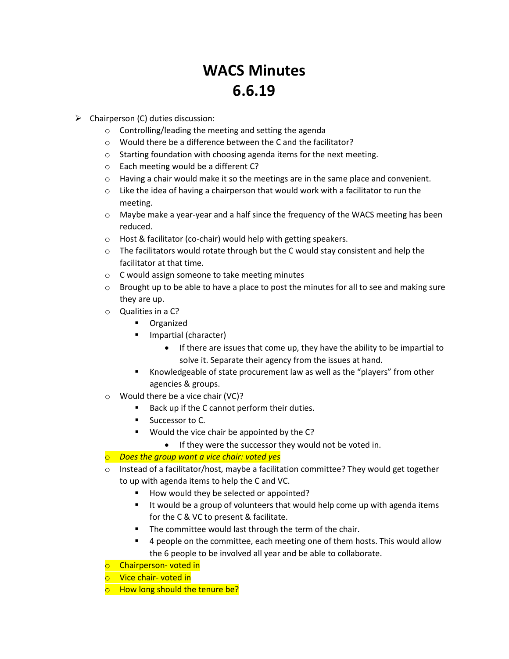# **WACS Minutes 6.6.19**

- $\triangleright$  Chairperson (C) duties discussion:
	- o Controlling/leading the meeting and setting the agenda
	- o Would there be a difference between the C and the facilitator?
	- o Starting foundation with choosing agenda items for the next meeting.
	- o Each meeting would be a different C?
	- $\circ$  Having a chair would make it so the meetings are in the same place and convenient.
	- $\circ$  Like the idea of having a chairperson that would work with a facilitator to run the meeting.
	- $\circ$  Maybe make a year-year and a half since the frequency of the WACS meeting has been reduced.
	- o Host & facilitator (co-chair) would help with getting speakers.
	- $\circ$  The facilitators would rotate through but the C would stay consistent and help the facilitator at that time.
	- o C would assign someone to take meeting minutes
	- $\circ$  Brought up to be able to have a place to post the minutes for all to see and making sure they are up.
	- o Qualities in a C?
		- **•** Organized
		- **Impartial (character)** 
			- If there are issues that come up, they have the ability to be impartial to solve it. Separate their agency from the issues at hand.
		- Knowledgeable of state procurement law as well as the "players" from other agencies & groups.
	- o Would there be a vice chair (VC)?
		- Back up if the C cannot perform their duties.
		- **Successor to C.**
		- **Would the vice chair be appointed by the C?** 
			- If they were the successor they would not be voted in.
	- o *Does the group want a vice chair: voted yes*
	- $\circ$  Instead of a facilitator/host, maybe a facilitation committee? They would get together to up with agenda items to help the C and VC.
		- How would they be selected or appointed?
		- **If would be a group of volunteers that would help come up with agenda items** for the C & VC to present & facilitate.
		- The committee would last through the term of the chair.
		- 4 people on the committee, each meeting one of them hosts. This would allow the 6 people to be involved all year and be able to collaborate.
	- o Chairperson- voted in
	- o Vice chair- voted in
	- o How long should the tenure be?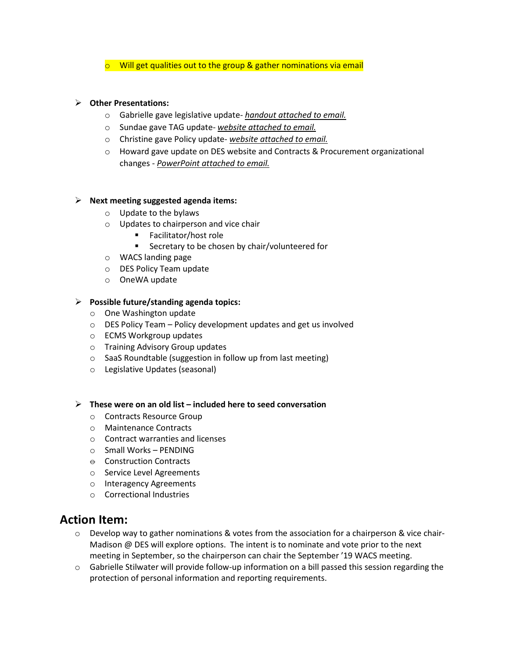$\circ$  Will get qualities out to the group & gather nominations via email

#### **Other Presentations:**

- o Gabrielle gave legislative update- *handout attached to email.*
- o Sundae gave TAG update- *website attached to email.*
- o Christine gave Policy update- *website attached to email.*
- o Howard gave update on DES website and Contracts & Procurement organizational changes - *PowerPoint attached to email.*

#### **Next meeting suggested agenda items:**

- o Update to the bylaws
- o Updates to chairperson and vice chair
	- Facilitator/host role
	- **Secretary to be chosen by chair/volunteered for**
- o WACS landing page
- o DES Policy Team update
- o OneWA update

#### **Possible future/standing agenda topics:**

- o One Washington update
- $\circ$  DES Policy Team Policy development updates and get us involved
- o ECMS Workgroup updates
- o Training Advisory Group updates
- o SaaS Roundtable (suggestion in follow up from last meeting)
- o Legislative Updates (seasonal)
- **These were on an old list – included here to seed conversation**
	- o Contracts Resource Group
	- o Maintenance Contracts
	- o Contract warranties and licenses
	- o Small Works PENDING
	- $\theta$  Construction Contracts
	- o Service Level Agreements
	- o Interagency Agreements
	- o Correctional Industries

### **Action Item:**

- $\circ$  Develop way to gather nominations & votes from the association for a chairperson & vice chair-Madison @ DES will explore options. The intent is to nominate and vote prior to the next meeting in September, so the chairperson can chair the September '19 WACS meeting.
- o Gabrielle Stilwater will provide follow-up information on a bill passed this session regarding the protection of personal information and reporting requirements.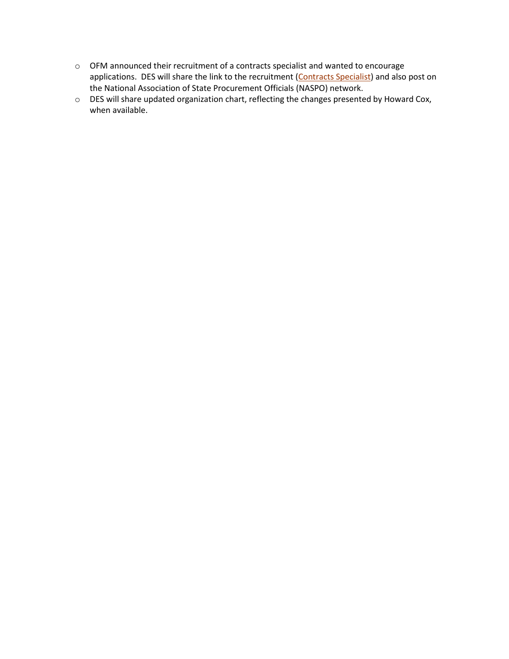- o OFM announced their recruitment of a contracts specialist and wanted to encourage applications. DES will share the link to the recruitment [\(Contracts Specialist\)](https://www.governmentjobs.com/careers/washington/jobs/2458740/contracts-specialist?department%5b0%5d=Office%20of%20Financial%20Management&sort=PostingDate%7CDescending&pagetype=jobOpportunitiesJobs) and also post on the National Association of State Procurement Officials (NASPO) network.
- o DES will share updated organization chart, reflecting the changes presented by Howard Cox, when available.